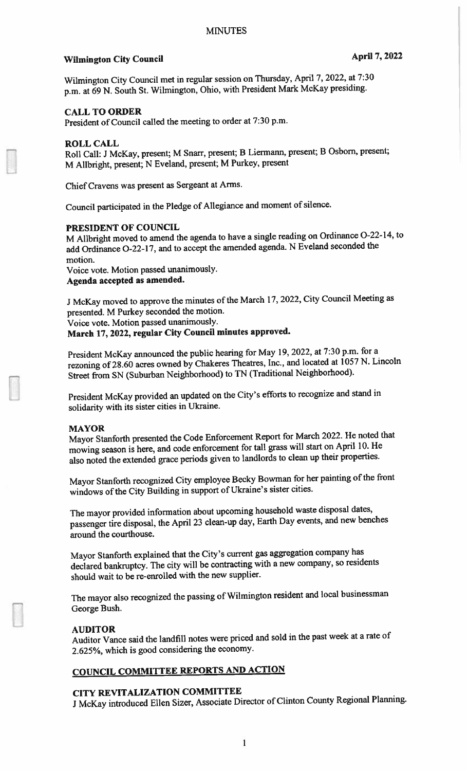# Wilmington City Council and April 7, 2022

Wilmington City Council met in regular session on Thursday, April 7, 2022, at 7:30 p.m. at 69 N. South St. Wilmington, Ohio, with President Mark McKay presiding.

### CALL TO ORDER

President of Council called the meeting to order at 7:30 p.m.

#### ROLL CALL

Roll Call: <sup>J</sup> McKay, present; <sup>M</sup> Snarr, present; <sup>B</sup> Liermann, present; <sup>B</sup> Osborn, present; M Allbright, present; <sup>N</sup> Eveland, present; <sup>M</sup> Purkey, presen<sup>t</sup>

Chief Cravens was presen<sup>t</sup> as Sergeant at Arms.

Council participated in the Pledge of Allegiance and moment of silence.

### PRESIDENT OF COUNCIL

M Allbright moved to amend the agenda to have <sup>a</sup> single reading on Ordinance 0-22-14, to add Ordinance 0-22-17, and to accep<sup>t</sup> the amended agenda. <sup>N</sup> Eveland seconded the motion.

Voice vote. Motion passe<sup>d</sup> unanimously. Agenda accepted as amended.

<sup>J</sup> McKay moved to approve the minutes of the March 17, 2022, City Council Meeting as presented. <sup>M</sup> Purkey seconded the motion.

Voice vote. Motion passe<sup>d</sup> unanimously.

March 17, 2022, regular City Council minutes approved.

President McKay announced the public hearing for May 19, 2022, at 7:30 p.m. for <sup>a</sup> rezoning of 28.60 acres owned by Chakeres Theatres, Inc., and located at <sup>1057</sup> N. Lincoln Street from SN (Suburban Neighborhood) to TN (Traditional Neighborhood).

President McKay provided an updated on the City's efforts to recognize and stand in solidarity with its sister cities in Ukraine.

#### MAYOR

Mayor Stanforth presented the Code Enforcement Report for March 2022. He noted that mowing season is here, and code enforcement for tall grass will start on April 10. He also noted the extended grace periods <sup>g</sup>iven to landlords to clean up their properties.

Mayor Stanforth recognized City employee Becky Bowman for her painting of the front windows of the City Building in suppor<sup>t</sup> of Ukraine's sister cities.

The mayor provided information about upcoming household waste disposal dates, passenger tire disposal, the April <sup>23</sup> clean-up day, Earth Day events, and new benches around the courthouse.

Mayor Stanforth explained that the City's current gas aggregation company has declared bankruptcy. The city will be contracting with <sup>a</sup> new company, so residents should wait to be re-enrolled with the new supplier.

The mayor also recognized the passing of Wilmington resident and local businessman George Bush.

### AUDITOR

Auditor Vance said the landfill notes were priced and sold in the pas<sup>t</sup> week at <sup>a</sup> rate of 2.625%, which is goo<sup>d</sup> considering the economy.

# COUNCIL COMMITTEE REPORTS AND ACTION

# CITY REVITALIZATION COMMITTEE

<sup>J</sup> McKay introduced Ellen Sizer, Associate Director of Clinton County Regional Planning.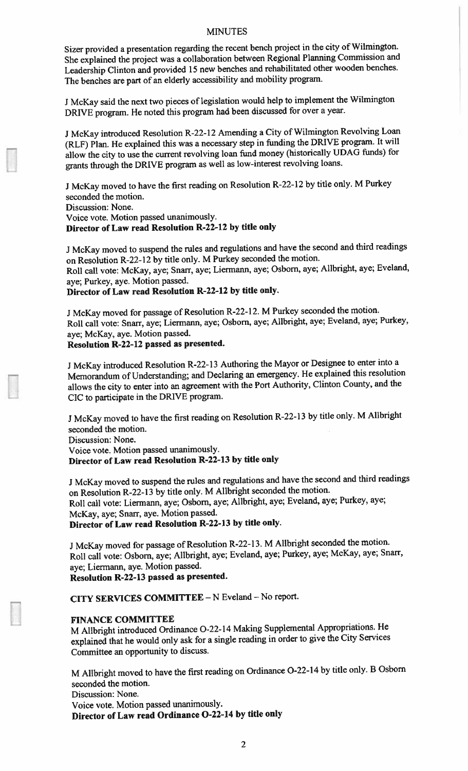Sizer provided <sup>a</sup> presentation regarding the recent bench project in the city of Wilmington. She explained the project was <sup>a</sup> collaboration between Regional Planning Commission and Leadership Clinton and provided <sup>15</sup> new benches and rehabilitated other wooden benches. The benches are par<sup>t</sup> of an elderly accessibility and mobility program.

J McKay said the next two pieces of legislation would help to implement the Wilmington DRIVE program. He noted this program had been discussed for over <sup>a</sup> year.

<sup>J</sup> McKay introduced Resolution R-22- <sup>12</sup> Amending <sup>a</sup> City of Wilmington Revolving Loan (RLF) Plan. He explained this was <sup>a</sup> necessary step in funding the DRIVE program. It will allow the city to use the current revolving loan fund money (historically UDAG funds) for grants through the DRIVE program as well as low-interest revolving loans.

<sup>J</sup> McKay moved to have the first reading on Resolution R-22- <sup>12</sup> by title only. <sup>M</sup> Purkey seconded the motion.

Discussion: None.

Voice vote. Motion passe<sup>d</sup> unanimously.

## Director of Law read Resolution R-22-12 by title only

<sup>J</sup> McKay moved to suspen<sup>d</sup> the rules and regulations and have the second and third readings on Resolution R-22-12 by title only. <sup>M</sup> Purkey seconded the motion.

Roll call vote: McKay, aye; Snarr, aye; Liermann, aye; Osbom, aye; Allbright, aye; Eveland, aye; Purkey, aye. Motion passed.

Director of Law read Resolution R-22-12 by title only.

<sup>J</sup> McKay moved for passage of Resolution R-22- 12. <sup>M</sup> Purkey seconded the motion. Roll call vote: Snarr, aye; Lierrnann, aye; Osbom, aye; Allbright, aye; Eveland, aye; Purkey, aye; McKay, aye. Motion passed.

Resolution R-22-12 passed as presented.

<sup>J</sup> McKay introduced Resolution R-22- <sup>13</sup> Authoring the Mayor or Designee to enter into <sup>a</sup> Memorandum of Understanding; and Declaring an emergency. He explained this resolution allows the city to enter into an agreemen<sup>t</sup> with the Port Authority, Clinton County, and the CC to participate in the DRIVE program.

<sup>J</sup> McKay moved to have the first reading on Resolution R-22-13 by title only. <sup>M</sup> Alibright seconded the motion. Discussion: None. Voice vote. Motion passed unanimously.

Director of Law read Resolution R-22-13 by title only

<sup>J</sup> McKay moved to suspen<sup>d</sup> the rules and regulations and have the second and third readings on Resolution R-22-13 by title only. <sup>M</sup> Allbright seconded the motion. Roll call vote: Liermann, aye; Osbom, aye; Allbright, aye; Eveland, aye; Purkey, aye; McKay, aye; Snarr, aye. Motion passed. Director of Law read Resolution R-22-13 by title only.

<sup>J</sup> McKay moved for passage of Resolution R-22-13. <sup>M</sup> Allbright seconded the motion. Roll call vote: Osbom, aye; Allbright, aye; Eveland, aye; Purkey, aye; McKay, aye; Snarr, aye; Liermann, aye. Motion passed.

Resolution R-22-13 passe<sup>d</sup> as presented.

CITY SERVICES COMMITTEE - N Eveland - No report.

### FINANCE COMMITTEE

M Allbright introduced Ordinance O-22-14 Making Supplemental Appropriations. He explained that he would only ask for <sup>a</sup> single reading in order to <sup>g</sup>ive the City Services Committee an opportunity to discuss.

M Allbright moved to have the first reading on Ordinance 0-22-14 by title only. <sup>B</sup> Osborn seconded the motion.

Discussion: None.

Voice vote. Motion passe<sup>d</sup> unanimously.

Director of Law read Ordinance 0-22-14 by title only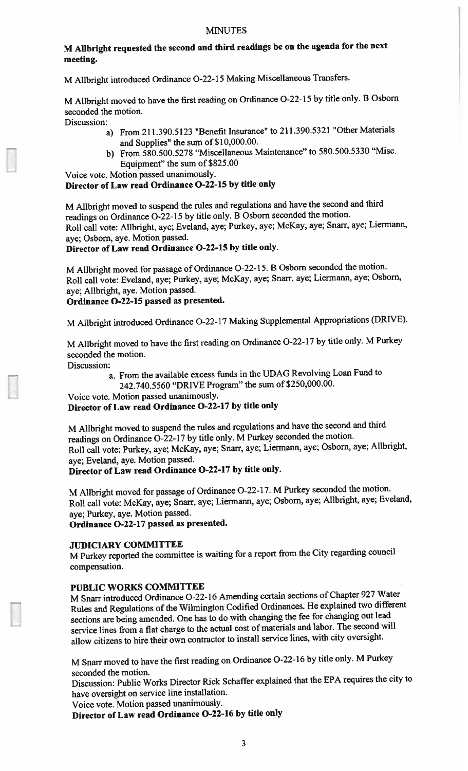### M Alibright requested the second and third readings be on the agenda for the next meeting.

M Allbright introduced Ordinance 0-22-15 Making Miscellaneous Transfers.

M Alibright moved to have the first reading on Ordinance 0-22-15 by title only. <sup>B</sup> Osborn seconded the motion.

Discussion:

- a) From 211.390.5123 'Benefit Insurance' to 211.390.5321 "Other Materials and Supplies" the sum of \$10,000.00.
- b) From 580.500.5278 "Miscellaneous Maintenance" to 580.500.5330 "Misc. Equipment" the sum of \$825.00

Voice vote. Motion passed unanimously.

### Director of Law read Ordinance 0-22-15 by title only

M Allbright moved to suspen<sup>d</sup> the rules and regulations and have the second and third readings on Ordinance 0-22-15 by title only. <sup>B</sup> Osborn seconded the motion. Roll call vote: Allbright. aye; Eveland, aye; Purkey, aye; McKay, aye; Snarr. aye; Liermann. aye; Osbom, aye. Motion passed.

### Director of Law read Ordinance 0-22-15 by title only.

M Alibright moved for passage of Ordinance 0-22-15. <sup>B</sup> Osbom seconded the motion. Roll call vote: Eveland, aye; Purkey, aye; McKay, aye; Snarr, aye; Liermann, aye; Osbom, aye; Allbright. aye. Motion passed.

### Ordinance 0-22-15 passe<sup>d</sup> as presented.

M Allbright introduced Ordinance 0-22-17 Making Supplemental Appropriations (DRIVE).

M Allbright moved to have the first reading on Ordinance 0-22-17 by title only. <sup>M</sup> Purkey seconded the motion.

Discussion:

a. From the available excess funds in the UDAG Revolving Loan Fund to

242.740.5560 "DRIVE Program" the sum of \$250,000.00.

Voice vote. Motion passed unanimously. Director of Law read Ordinance 0-22-17 by title only

M Allbright moved to suspen<sup>d</sup> the rules and regulations and have the second and third readings on Ordinance 0-22-17 by title only. <sup>M</sup> Purkey seconded the motion. Roll call vote: Purkey, aye; McKay, aye; Snarr, aye; Liermann, aye; Osbom, aye; Allbright, aye; Eveland, aye. Motion passed.

# Director of Law read Ordinance 0-22-17 by title only.

M Allbright moved for passage of Ordinance 0-22-17. <sup>M</sup> Purkey seconded the motion. Roll call vote: McKay, aye: Snarr. aye: Liemann, aye; Osbom, aye; Allbright, aye; Eveland, aye; Purkey. aye. Motion passed.

Ordinance 0-22-17 passe<sup>d</sup> as presented.

### JUDICIARY COMMITTEE

M Purkey reported the committee is waiting for a report from the City regarding council compensation.

### PUBLIC WORKS COMMITTEE

M Snarr introduced Ordinance 0-22-16 Amending certain sections of Chapter <sup>927</sup> Water Rules and Regulations of the Wilmington Codified Ordinances. He explained two different sections are being amended. One has to do with changing the fee for changing out lead service lines from <sup>a</sup> flat charge to the actual cost of materials and labor. The second will allow citizens to hire their own contractor to install service lines, with city oversight.

M Snarr moved to have the first reading on Ordinance 0-22-16 by title only. <sup>M</sup> Purkey seconded the motion.

Discussion: Public Works Director Rick Schaffer explained that the EPA requires the city to have oversight on service line installation.

Voice vote. Motion passe<sup>d</sup> unanimously.

Director of Law read Ordinance 0-22-16 by title only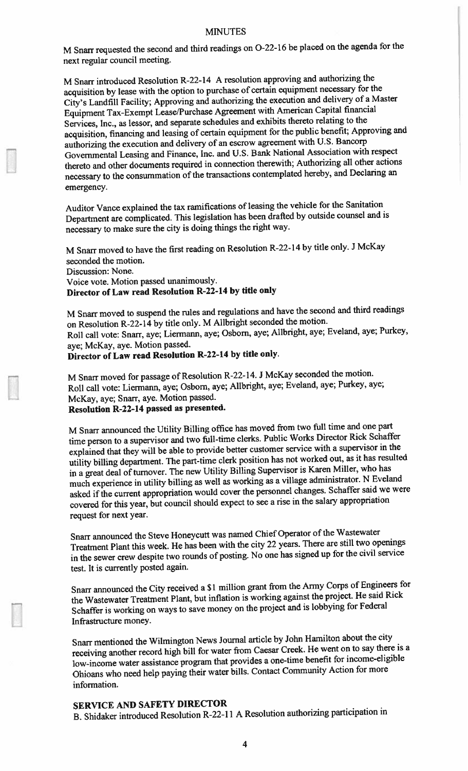M Snarr requested the second and third readings on 0-22-16 be <sup>p</sup>laced on the agenda for the next regular council meeting.

M Snarr introduced Resolution R-22-l4 <sup>A</sup> resolution approving and authorizing the acquisition by lease with the option to purchase of certain equipment necessary for the City's Landfill Facility; Approving and authorizing the execution and delivery of <sup>a</sup> Master Equipment Tax-Exempt Lease/Purchase Agreement with American Capital financial Services. Inc., as lessor, and separate schedules and exhibits thereto relating to the acquisition, financing and leasing of certain equipment for the public benefit; Approving and authorizing the execution and delivery of an escrow agreemen<sup>t</sup> with U.S. Bancorp Governmental Leasing and Finance, Inc. and U.S. Bank National Association with respec<sup>t</sup> thereto and other documents required in connection therewith; Authorizing all other actions necessary to the consummation of the transactions contemplated hereby, and Declaring an emergency.

Auditor Vance explained the tax ramifications of leasing the vehicle for the Sanitation Department are complicated. This legislation has been drafted by outside counsel and is necessary to make sure the city is doing things the right way.

M Snarr moved to have the first reading on Resolution R-22-14 by title only. <sup>J</sup> McKay seconded the motion. Discussion: None. Voice vote. Motion passe<sup>d</sup> unanimously. Director of Law read Resolution R-22-14 by title only

M Snarr moved to suspen<sup>d</sup> the rules and regulations and have the second and third readings on Resolution R-22-14 by title only. <sup>M</sup> Allbright seconded the motion. Roll call vote: Snarr, aye; Liermann, aye; Osborn, aye; Allbright, aye; Eveland, aye; Purkey, aye; McKay, aye. Motion passed.

Director of Law read Resolution R-22-14 by title only.

M Snarr moved for passage of Resolution R-22- 14. <sup>J</sup> McKay seconded the motion. Roll call vote: Liermann, aye; Osbom, aye; Allbright, aye; Eveland, aye; Purkey, aye; McKay, aye; Snarr. aye. Motion passed. Resolution R-22-14 passe<sup>d</sup> as presented.

M Snarr announced the Utility Billing office has moved from two full time and one par<sup>t</sup> time person to a supervisor and two full-time clerks. Public Works Director Rick Schaffer explained that they will be able to provide better customer service with <sup>a</sup> supervisor in the utility billing department. The part-time clerk position has not worked out, as it has resulted in a great deal of turnover. The new Utility Billing Supervisor is Karen Miller, who has much experience in utility billing as well as working as <sup>a</sup> village administrator. <sup>N</sup> Eveland asked if the current appropriation would cover the personne<sup>l</sup> changes. Schaffer said we were covered for this year, but council should expec<sup>t</sup> to see <sup>a</sup> rise in the salary appropriation reques<sup>t</sup> for next year.

Snarr announced the Steve Honeycutt was named Chief Operator of the Wastewater Treatment Plant this week. He has been with the city <sup>22</sup> years. There are still two openings in the sewer crew despite two rounds of posting. No one has signed up for the civil service test. It is currently posted again.

Snarr announced the City received <sup>a</sup> SI million gran<sup>t</sup> from the Army Corps of Engineers for the Wastewater Treatment Plant, but inflation is working against the project. He said Rick Schaffer is working on ways to save money on the project and is lobbying for Federal Infrastructure money.

Snarr mentioned the Wilmington News Journal article by John Hamilton about the city receiving another record high bill for water from Caesar Creek. He went on to say there is <sup>a</sup> low-income water assistance program that provides <sup>a</sup> one-time benefit for income-eligible Ohioans who need help paying their water bills. Contact Community Action for more information.

### SERVICE AND SAFETY DIRECTOR

B. Shidaker introduced Resolution R-22-l <sup>I</sup> <sup>A</sup> Resolution authorizing participation in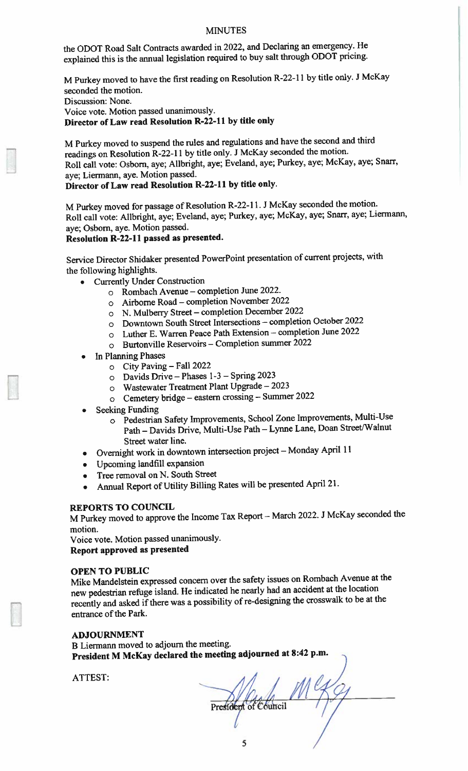the ODOT Road Salt Contracts awarded in 2022, and Declaring an emergency. He explained this is the annual legislation required to buy salt through ODOT pricing.

M Purkey moved to have the first reading on Resolution R-22- II by title only. <sup>J</sup> McKay seconded the motion. Discussion: None. Voice vote. Motion passed unanimously. Director of Law read Resolution R-22-11 by title only

M Purkey moved to suspen<sup>d</sup> the rules and regulations and have the second and third readings on Resolution R-22-l <sup>I</sup> by title only. <sup>J</sup> McKay seconded the motion. Roll call vote: Osborn, aye; Alibright, aye; Eveland, aye; Purkey, aye; McKay, aye; Snarr, aye; Liermann, aye. Motion passed.

Director of Law read Resolution R-22-11 by title only.

M Purkey moved for passage of Resolution R-22-l 1. <sup>J</sup> McKay seconded the motion. Roll call vote: Allbright. aye; Eveland, aye; Purkey, aye; McKay. aye; Snarr. aye; Liermann, aye; Osborn, aye. Motion passed.

### Resolution R-22-11 passe<sup>d</sup> as presented.

Service Director Shidaker presented PowerPoint presentation of current projects, with the following highlights.

- Currently Under Construction
	- <sup>o</sup> Rombach Avenue completion June 2022.
	- <sup>o</sup> Airborne Road completion November <sup>2022</sup>
	- <sup>o</sup> N. Mulberry Street completion December <sup>2022</sup>
	- <sup>o</sup> Downtown South Street Intersections completion October <sup>2022</sup>
	- <sup>o</sup> Luther E. Warren Peace Path Extension completion June <sup>2022</sup>
	- <sup>o</sup> Burtonville Reservoirs Completion summer <sup>2022</sup>
- •In Planning Phases

•

- <sup>o</sup> City Paving Fall <sup>2022</sup>
- <sup>o</sup> Davids Drive Phases 1-3 Spring 2023
- <sup>o</sup> Wastewater Treatment Plant Upgrade 2023
- <sup>o</sup> Cemetery bridge eastern crossing Summer <sup>2022</sup>
- Seeking Funding
	- <sup>o</sup> Pedestrian Safety Improvements, School Zone Improvements, Multi-Use Path — Davids Drive. Multi-Use Path — Lynne Lane, Doan Street/Walnut Street water line.
- Overnight work in downtown intersection project Monday April 1!
- Upcoming landfill expansion
- •Tree removal on N. South Street
- Annual Report of Utility Billing Rates will be presented April 21.

### REPORTS TO COUNCIL

M Purkey moved to approve the Income Tax Report — March 2022. <sup>J</sup> McKay seconded the motion.

Voice vote. Motion passe<sup>d</sup> unanimously. Report approve<sup>d</sup> as presented

### OPEN TO PUBLIC

Mike Mandelstein expresse<sup>d</sup> concern over the safety issues on Rombach Avenue at the new pedestrian refuge island. He indicated he nearly had an accident at the location recently and asked if there was <sup>a</sup> possibility of re-designing the crosswalk to be at the entrance of the Park.

### ADJOURNMENT

B Liermann moved to adjourn the meeting. President <sup>M</sup> McKay declared the meeting adjourned at 8:42 p.m.

ATTEST:

President of Council